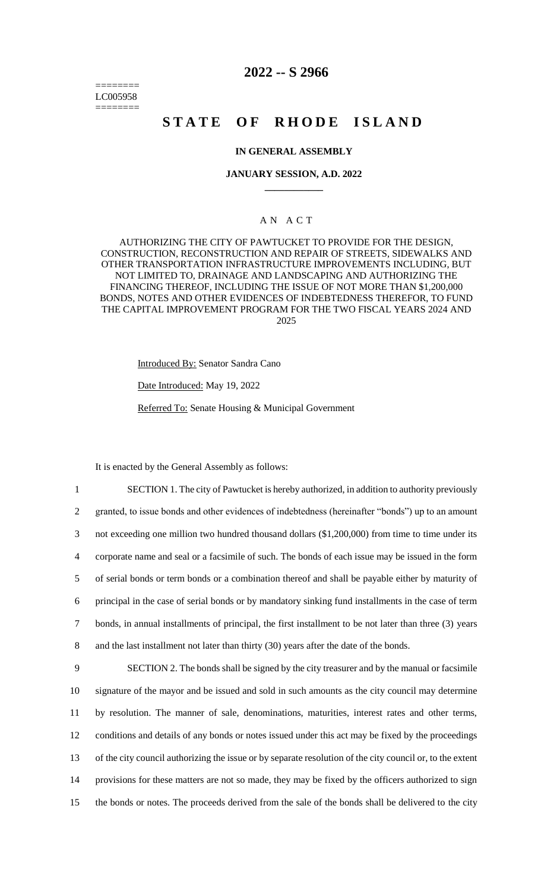======== LC005958 ========

# **2022 -- S 2966**

# **STATE OF RHODE ISLAND**

# **IN GENERAL ASSEMBLY**

### **JANUARY SESSION, A.D. 2022 \_\_\_\_\_\_\_\_\_\_\_\_**

# A N A C T

AUTHORIZING THE CITY OF PAWTUCKET TO PROVIDE FOR THE DESIGN, CONSTRUCTION, RECONSTRUCTION AND REPAIR OF STREETS, SIDEWALKS AND OTHER TRANSPORTATION INFRASTRUCTURE IMPROVEMENTS INCLUDING, BUT NOT LIMITED TO, DRAINAGE AND LANDSCAPING AND AUTHORIZING THE FINANCING THEREOF, INCLUDING THE ISSUE OF NOT MORE THAN \$1,200,000 BONDS, NOTES AND OTHER EVIDENCES OF INDEBTEDNESS THEREFOR, TO FUND THE CAPITAL IMPROVEMENT PROGRAM FOR THE TWO FISCAL YEARS 2024 AND 2025

Introduced By: Senator Sandra Cano

Date Introduced: May 19, 2022

Referred To: Senate Housing & Municipal Government

It is enacted by the General Assembly as follows:

 SECTION 1. The city of Pawtucket is hereby authorized, in addition to authority previously granted, to issue bonds and other evidences of indebtedness (hereinafter "bonds") up to an amount not exceeding one million two hundred thousand dollars (\$1,200,000) from time to time under its corporate name and seal or a facsimile of such. The bonds of each issue may be issued in the form of serial bonds or term bonds or a combination thereof and shall be payable either by maturity of principal in the case of serial bonds or by mandatory sinking fund installments in the case of term bonds, in annual installments of principal, the first installment to be not later than three (3) years and the last installment not later than thirty (30) years after the date of the bonds.

 SECTION 2. The bonds shall be signed by the city treasurer and by the manual or facsimile signature of the mayor and be issued and sold in such amounts as the city council may determine by resolution. The manner of sale, denominations, maturities, interest rates and other terms, conditions and details of any bonds or notes issued under this act may be fixed by the proceedings of the city council authorizing the issue or by separate resolution of the city council or, to the extent provisions for these matters are not so made, they may be fixed by the officers authorized to sign the bonds or notes. The proceeds derived from the sale of the bonds shall be delivered to the city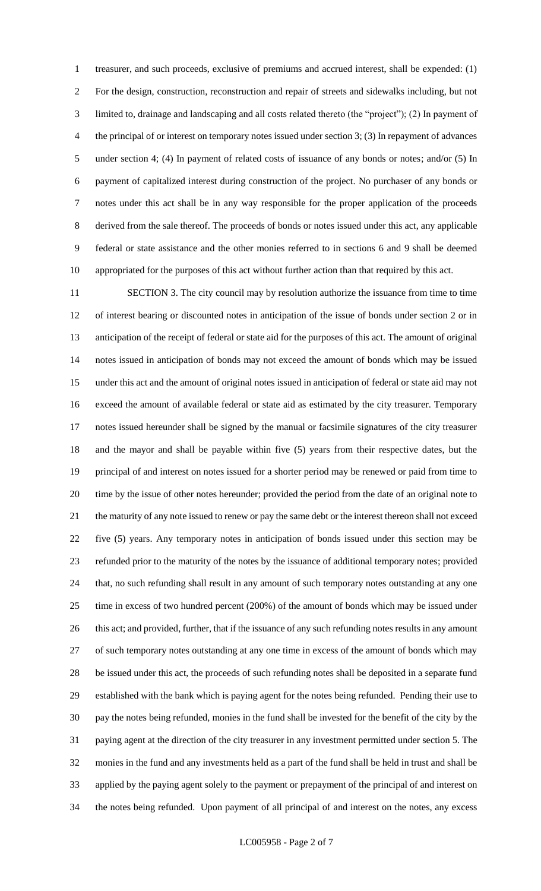treasurer, and such proceeds, exclusive of premiums and accrued interest, shall be expended: (1) For the design, construction, reconstruction and repair of streets and sidewalks including, but not limited to, drainage and landscaping and all costs related thereto (the "project"); (2) In payment of the principal of or interest on temporary notes issued under section 3; (3) In repayment of advances 5 under section 4; (4) In payment of related costs of issuance of any bonds or notes; and/or (5) In payment of capitalized interest during construction of the project. No purchaser of any bonds or notes under this act shall be in any way responsible for the proper application of the proceeds derived from the sale thereof. The proceeds of bonds or notes issued under this act, any applicable federal or state assistance and the other monies referred to in sections 6 and 9 shall be deemed appropriated for the purposes of this act without further action than that required by this act.

 SECTION 3. The city council may by resolution authorize the issuance from time to time of interest bearing or discounted notes in anticipation of the issue of bonds under section 2 or in anticipation of the receipt of federal or state aid for the purposes of this act. The amount of original notes issued in anticipation of bonds may not exceed the amount of bonds which may be issued under this act and the amount of original notes issued in anticipation of federal or state aid may not exceed the amount of available federal or state aid as estimated by the city treasurer. Temporary notes issued hereunder shall be signed by the manual or facsimile signatures of the city treasurer and the mayor and shall be payable within five (5) years from their respective dates, but the principal of and interest on notes issued for a shorter period may be renewed or paid from time to time by the issue of other notes hereunder; provided the period from the date of an original note to the maturity of any note issued to renew or pay the same debt or the interest thereon shall not exceed five (5) years. Any temporary notes in anticipation of bonds issued under this section may be refunded prior to the maturity of the notes by the issuance of additional temporary notes; provided that, no such refunding shall result in any amount of such temporary notes outstanding at any one time in excess of two hundred percent (200%) of the amount of bonds which may be issued under 26 this act; and provided, further, that if the issuance of any such refunding notes results in any amount of such temporary notes outstanding at any one time in excess of the amount of bonds which may be issued under this act, the proceeds of such refunding notes shall be deposited in a separate fund established with the bank which is paying agent for the notes being refunded. Pending their use to pay the notes being refunded, monies in the fund shall be invested for the benefit of the city by the paying agent at the direction of the city treasurer in any investment permitted under section 5. The monies in the fund and any investments held as a part of the fund shall be held in trust and shall be applied by the paying agent solely to the payment or prepayment of the principal of and interest on the notes being refunded. Upon payment of all principal of and interest on the notes, any excess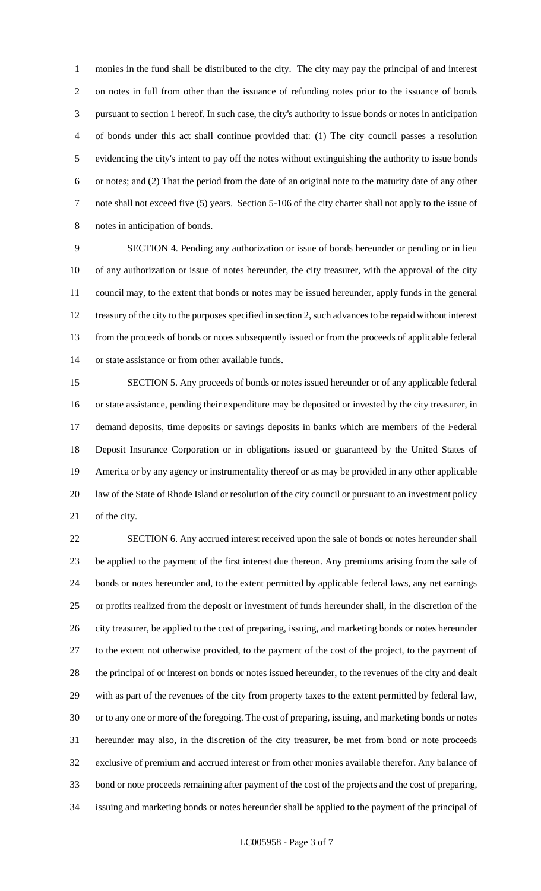monies in the fund shall be distributed to the city. The city may pay the principal of and interest on notes in full from other than the issuance of refunding notes prior to the issuance of bonds pursuant to section 1 hereof. In such case, the city's authority to issue bonds or notes in anticipation of bonds under this act shall continue provided that: (1) The city council passes a resolution evidencing the city's intent to pay off the notes without extinguishing the authority to issue bonds or notes; and (2) That the period from the date of an original note to the maturity date of any other note shall not exceed five (5) years. Section 5-106 of the city charter shall not apply to the issue of notes in anticipation of bonds.

 SECTION 4. Pending any authorization or issue of bonds hereunder or pending or in lieu of any authorization or issue of notes hereunder, the city treasurer, with the approval of the city council may, to the extent that bonds or notes may be issued hereunder, apply funds in the general treasury of the city to the purposes specified in section 2, such advances to be repaid without interest from the proceeds of bonds or notes subsequently issued or from the proceeds of applicable federal or state assistance or from other available funds.

 SECTION 5. Any proceeds of bonds or notes issued hereunder or of any applicable federal or state assistance, pending their expenditure may be deposited or invested by the city treasurer, in demand deposits, time deposits or savings deposits in banks which are members of the Federal Deposit Insurance Corporation or in obligations issued or guaranteed by the United States of America or by any agency or instrumentality thereof or as may be provided in any other applicable law of the State of Rhode Island or resolution of the city council or pursuant to an investment policy of the city.

 SECTION 6. Any accrued interest received upon the sale of bonds or notes hereunder shall be applied to the payment of the first interest due thereon. Any premiums arising from the sale of bonds or notes hereunder and, to the extent permitted by applicable federal laws, any net earnings or profits realized from the deposit or investment of funds hereunder shall, in the discretion of the city treasurer, be applied to the cost of preparing, issuing, and marketing bonds or notes hereunder to the extent not otherwise provided, to the payment of the cost of the project, to the payment of the principal of or interest on bonds or notes issued hereunder, to the revenues of the city and dealt with as part of the revenues of the city from property taxes to the extent permitted by federal law, or to any one or more of the foregoing. The cost of preparing, issuing, and marketing bonds or notes hereunder may also, in the discretion of the city treasurer, be met from bond or note proceeds exclusive of premium and accrued interest or from other monies available therefor. Any balance of bond or note proceeds remaining after payment of the cost of the projects and the cost of preparing, issuing and marketing bonds or notes hereunder shall be applied to the payment of the principal of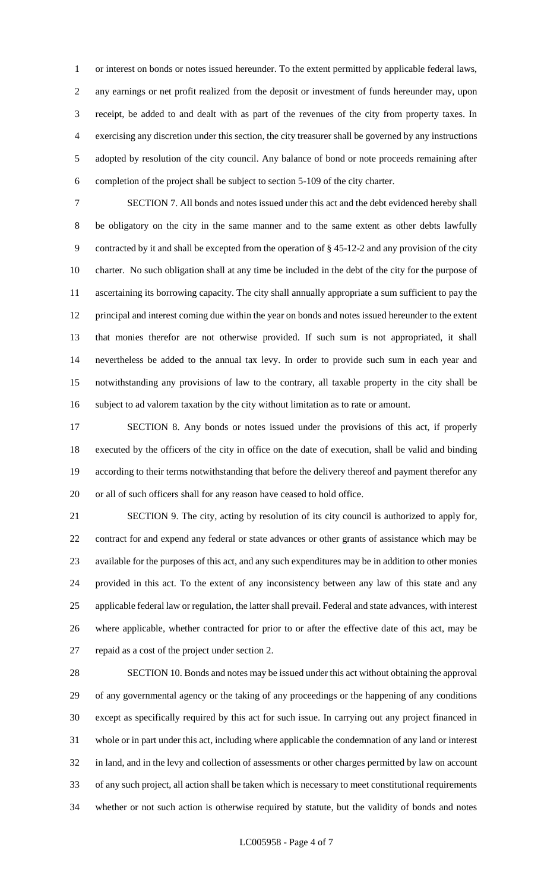or interest on bonds or notes issued hereunder. To the extent permitted by applicable federal laws, any earnings or net profit realized from the deposit or investment of funds hereunder may, upon receipt, be added to and dealt with as part of the revenues of the city from property taxes. In exercising any discretion under this section, the city treasurer shall be governed by any instructions adopted by resolution of the city council. Any balance of bond or note proceeds remaining after completion of the project shall be subject to section 5-109 of the city charter.

 SECTION 7. All bonds and notes issued under this act and the debt evidenced hereby shall be obligatory on the city in the same manner and to the same extent as other debts lawfully contracted by it and shall be excepted from the operation of § 45-12-2 and any provision of the city charter. No such obligation shall at any time be included in the debt of the city for the purpose of ascertaining its borrowing capacity. The city shall annually appropriate a sum sufficient to pay the principal and interest coming due within the year on bonds and notes issued hereunder to the extent that monies therefor are not otherwise provided. If such sum is not appropriated, it shall nevertheless be added to the annual tax levy. In order to provide such sum in each year and notwithstanding any provisions of law to the contrary, all taxable property in the city shall be subject to ad valorem taxation by the city without limitation as to rate or amount.

 SECTION 8. Any bonds or notes issued under the provisions of this act, if properly executed by the officers of the city in office on the date of execution, shall be valid and binding according to their terms notwithstanding that before the delivery thereof and payment therefor any or all of such officers shall for any reason have ceased to hold office.

 SECTION 9. The city, acting by resolution of its city council is authorized to apply for, contract for and expend any federal or state advances or other grants of assistance which may be available for the purposes of this act, and any such expenditures may be in addition to other monies provided in this act. To the extent of any inconsistency between any law of this state and any applicable federal law or regulation, the latter shall prevail. Federal and state advances, with interest where applicable, whether contracted for prior to or after the effective date of this act, may be repaid as a cost of the project under section 2.

 SECTION 10. Bonds and notes may be issued under this act without obtaining the approval of any governmental agency or the taking of any proceedings or the happening of any conditions except as specifically required by this act for such issue. In carrying out any project financed in whole or in part under this act, including where applicable the condemnation of any land or interest in land, and in the levy and collection of assessments or other charges permitted by law on account of any such project, all action shall be taken which is necessary to meet constitutional requirements whether or not such action is otherwise required by statute, but the validity of bonds and notes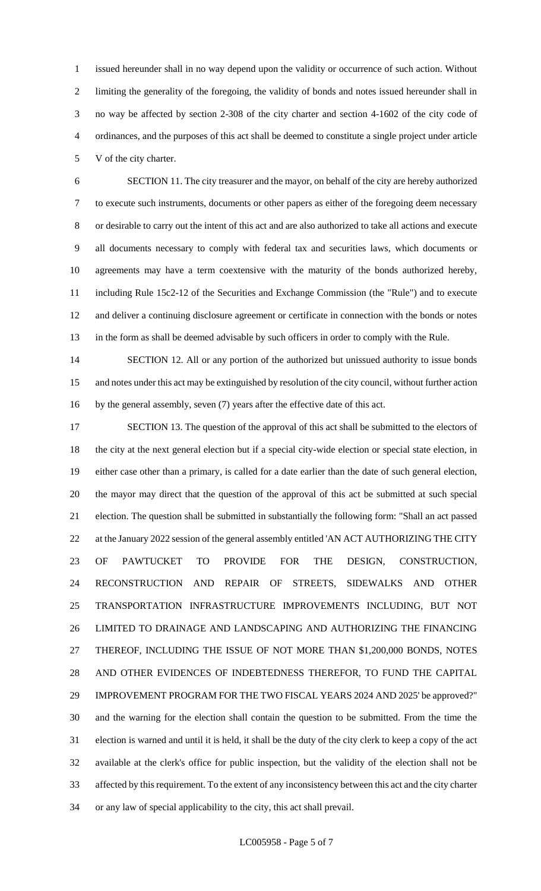issued hereunder shall in no way depend upon the validity or occurrence of such action. Without limiting the generality of the foregoing, the validity of bonds and notes issued hereunder shall in no way be affected by section 2-308 of the city charter and section 4-1602 of the city code of ordinances, and the purposes of this act shall be deemed to constitute a single project under article V of the city charter.

 SECTION 11. The city treasurer and the mayor, on behalf of the city are hereby authorized to execute such instruments, documents or other papers as either of the foregoing deem necessary or desirable to carry out the intent of this act and are also authorized to take all actions and execute all documents necessary to comply with federal tax and securities laws, which documents or agreements may have a term coextensive with the maturity of the bonds authorized hereby, including Rule 15c2-12 of the Securities and Exchange Commission (the "Rule") and to execute and deliver a continuing disclosure agreement or certificate in connection with the bonds or notes in the form as shall be deemed advisable by such officers in order to comply with the Rule.

14 SECTION 12. All or any portion of the authorized but unissued authority to issue bonds and notes under this act may be extinguished by resolution of the city council, without further action by the general assembly, seven (7) years after the effective date of this act.

17 SECTION 13. The question of the approval of this act shall be submitted to the electors of the city at the next general election but if a special city-wide election or special state election, in either case other than a primary, is called for a date earlier than the date of such general election, the mayor may direct that the question of the approval of this act be submitted at such special election. The question shall be submitted in substantially the following form: "Shall an act passed 22 at the January 2022 session of the general assembly entitled 'AN ACT AUTHORIZING THE CITY OF PAWTUCKET TO PROVIDE FOR THE DESIGN, CONSTRUCTION, RECONSTRUCTION AND REPAIR OF STREETS, SIDEWALKS AND OTHER TRANSPORTATION INFRASTRUCTURE IMPROVEMENTS INCLUDING, BUT NOT LIMITED TO DRAINAGE AND LANDSCAPING AND AUTHORIZING THE FINANCING THEREOF, INCLUDING THE ISSUE OF NOT MORE THAN \$1,200,000 BONDS, NOTES AND OTHER EVIDENCES OF INDEBTEDNESS THEREFOR, TO FUND THE CAPITAL IMPROVEMENT PROGRAM FOR THE TWO FISCAL YEARS 2024 AND 2025' be approved?" and the warning for the election shall contain the question to be submitted. From the time the election is warned and until it is held, it shall be the duty of the city clerk to keep a copy of the act available at the clerk's office for public inspection, but the validity of the election shall not be affected by this requirement. To the extent of any inconsistency between this act and the city charter or any law of special applicability to the city, this act shall prevail.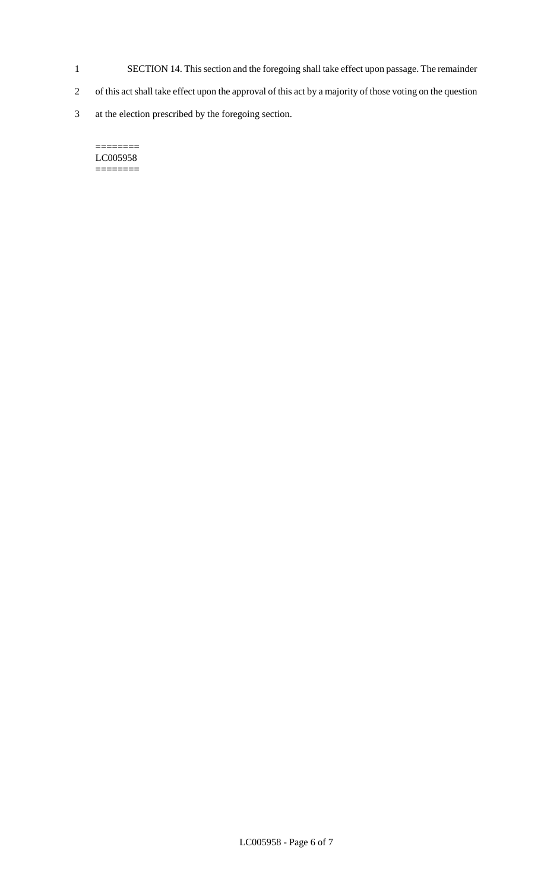- 1 SECTION 14. This section and the foregoing shall take effect upon passage. The remainder
- 2 of this act shall take effect upon the approval of this act by a majority of those voting on the question
- 3 at the election prescribed by the foregoing section.

#### $=$ LC005958 ========